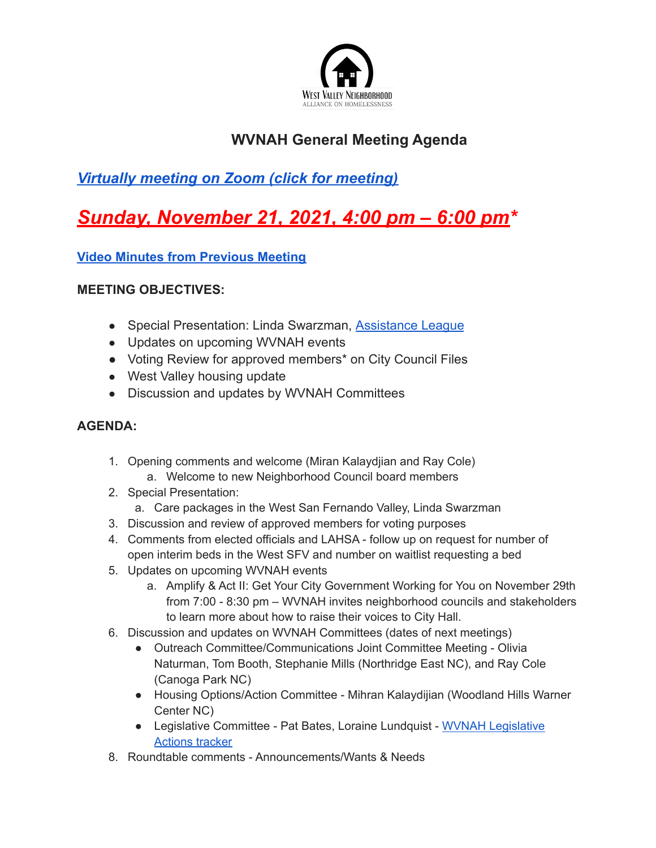

## **WVNAH General Meeting Agenda**

## *Virtually meeting on Zoom (click for meeting)*

# *Sunday, November 21, 2021, 4:00 pm – 6:00 pm\**

**Video Minutes from Previous Meeting**

#### **MEETING OBJECTIVES:**

- Special Presentation: Linda Swarzman, Assistance League
- Updates on upcoming WVNAH events
- Voting Review for approved members<sup>\*</sup> on City Council Files
- West Valley housing update
- Discussion and updates by WVNAH Committees

### **AGENDA:**

- 1. Opening comments and welcome (Miran Kalaydjian and Ray Cole) a. Welcome to new Neighborhood Council board members
- 2. Special Presentation:
	- a. Care packages in the West San Fernando Valley, Linda Swarzman
- 3. Discussion and review of approved members for voting purposes
- 4. Comments from elected officials and LAHSA follow up on request for number of open interim beds in the West SFV and number on waitlist requesting a bed
- 5. Updates on upcoming WVNAH events
	- a. Amplify & Act II: Get Your City Government Working for You on November 29th from 7:00 - 8:30 pm – WVNAH invites neighborhood councils and stakeholders to learn more about how to raise their voices to City Hall.
- 6. Discussion and updates on WVNAH Committees (dates of next meetings)
	- Outreach Committee/Communications Joint Committee Meeting Olivia Naturman, Tom Booth, Stephanie Mills (Northridge East NC), and Ray Cole (Canoga Park NC)
	- Housing Options/Action Committee Mihran Kalaydijian (Woodland Hills Warner Center NC)
	- Legislative Committee Pat Bates, Loraine Lundquist WVNAH Legislative Actions tracker
- 8. Roundtable comments Announcements/Wants & Needs